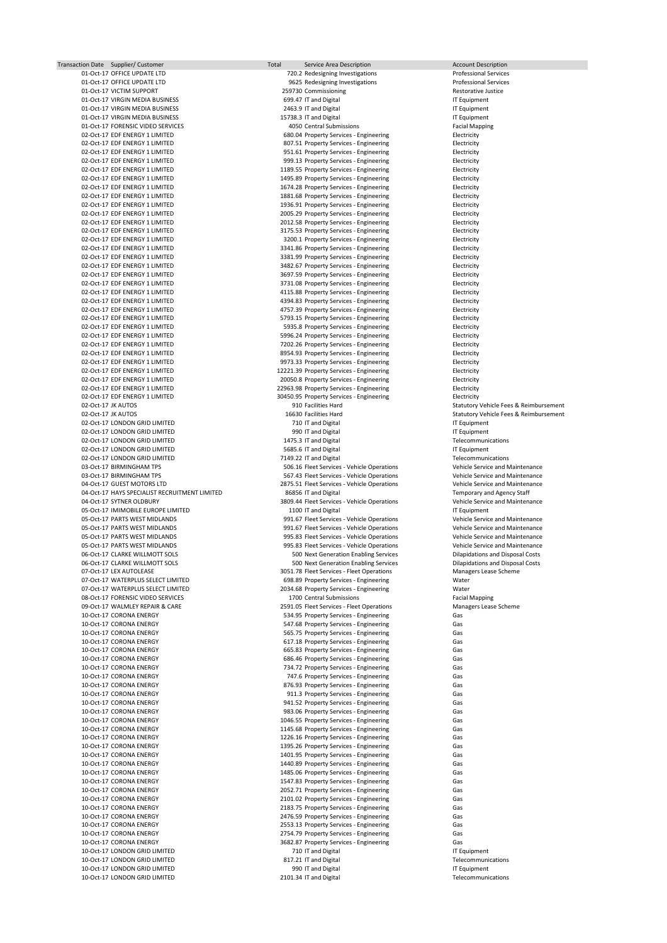| Transaction Date Supplier/Customer            | Total | Service Area Description                     | <b>Account Description</b>                        |
|-----------------------------------------------|-------|----------------------------------------------|---------------------------------------------------|
| 01-Oct-17 OFFICE UPDATE LTD                   |       | 720.2 Redesigning Investigations             | <b>Professional Services</b>                      |
| 01-Oct-17 OFFICE UPDATE LTD                   |       | 9625 Redesigning Investigations              | <b>Professional Services</b>                      |
| 01-Oct-17 VICTIM SUPPORT                      |       | 259730 Commissioning                         | Restorative Justice                               |
| 01-Oct-17 VIRGIN MEDIA BUSINESS               |       | 699.47 IT and Digital                        | IT Equipment                                      |
| 01-Oct-17 VIRGIN MEDIA BUSINESS               |       | 2463.9 IT and Digital                        |                                                   |
|                                               |       |                                              | IT Equipment                                      |
| 01-Oct-17 VIRGIN MEDIA BUSINESS               |       | 15738.3 IT and Digital                       | IT Equipment                                      |
| 01-Oct-17 FORENSIC VIDEO SERVICES             |       | 4050 Central Submissions                     | <b>Facial Mapping</b>                             |
| 02-Oct-17 EDF ENERGY 1 LIMITED                |       | 680.04 Property Services - Engineering       | Electricity                                       |
| 02-Oct-17 EDF ENERGY 1 LIMITED                |       | 807.51 Property Services - Engineering       | Electricity                                       |
| 02-Oct-17 EDF ENERGY 1 LIMITED                |       | 951.61 Property Services - Engineering       | Electricity                                       |
|                                               |       |                                              |                                                   |
| 02-Oct-17 EDF ENERGY 1 LIMITED                |       | 999.13 Property Services - Engineering       | Electricity                                       |
| 02-Oct-17 EDF ENERGY 1 LIMITED                |       | 1189.55 Property Services - Engineering      | Electricity                                       |
| 02-Oct-17 EDF ENERGY 1 LIMITED                |       | 1495.89 Property Services - Engineering      | Electricity                                       |
| 02-Oct-17 EDF ENERGY 1 LIMITED                |       | 1674.28 Property Services - Engineering      | Electricity                                       |
| 02-Oct-17 EDF ENERGY 1 LIMITED                |       | 1881.68 Property Services - Engineering      | Electricity                                       |
| 02-Oct-17 EDF ENERGY 1 LIMITED                |       | 1936.91 Property Services - Engineering      | Electricity                                       |
|                                               |       |                                              |                                                   |
| 02-Oct-17 EDF ENERGY 1 LIMITED                |       | 2005.29 Property Services - Engineering      | Electricity                                       |
| 02-Oct-17 EDF ENERGY 1 LIMITED                |       | 2012.58 Property Services - Engineering      | Electricity                                       |
| 02-Oct-17 EDF ENERGY 1 LIMITED                |       | 3175.53 Property Services - Engineering      | Electricity                                       |
| 02-Oct-17 EDF ENERGY 1 LIMITED                |       | 3200.1 Property Services - Engineering       | Electricity                                       |
| 02-Oct-17 EDF ENERGY 1 LIMITED                |       | 3341.86 Property Services - Engineering      | Electricity                                       |
| 02-Oct-17 EDF ENERGY 1 LIMITED                |       | 3381.99 Property Services - Engineering      | Electricity                                       |
|                                               |       |                                              |                                                   |
| 02-Oct-17 EDF ENERGY 1 LIMITED                |       | 3482.67 Property Services - Engineering      | Electricity                                       |
| 02-Oct-17 EDF ENERGY 1 LIMITED                |       | 3697.59 Property Services - Engineering      | Electricity                                       |
| 02-Oct-17 EDF ENERGY 1 LIMITED                |       | 3731.08 Property Services - Engineering      | Electricity                                       |
| 02-Oct-17 EDF ENERGY 1 LIMITED                |       | 4115.88 Property Services - Engineering      | Electricity                                       |
| 02-Oct-17 EDF ENERGY 1 LIMITED                |       | 4394.83 Property Services - Engineering      | Electricity                                       |
| 02-Oct-17 EDF ENERGY 1 LIMITED                |       | 4757.39 Property Services - Engineering      | Electricity                                       |
|                                               |       |                                              |                                                   |
| 02-Oct-17 EDF ENERGY 1 LIMITED                |       | 5793.15 Property Services - Engineering      | Electricity                                       |
| 02-Oct-17 EDF ENERGY 1 LIMITED                |       | 5935.8 Property Services - Engineering       | Electricity                                       |
| 02-Oct-17 EDF ENERGY 1 LIMITED                |       | 5996.24 Property Services - Engineering      | Electricity                                       |
| 02-Oct-17 EDF ENERGY 1 LIMITED                |       | 7202.26 Property Services - Engineering      | Electricity                                       |
| 02-Oct-17 EDF ENERGY 1 LIMITED                |       | 8954.93 Property Services - Engineering      | Electricity                                       |
| 02-Oct-17 EDF ENERGY 1 LIMITED                |       |                                              |                                                   |
|                                               |       | 9973.33 Property Services - Engineering      | Electricity                                       |
| 02-Oct-17 EDF ENERGY 1 LIMITED                |       | 12221.39 Property Services - Engineering     | Electricity                                       |
| 02-Oct-17 EDF ENERGY 1 LIMITED                |       | 20050.8 Property Services - Engineering      | Electricity                                       |
| 02-Oct-17 EDF ENERGY 1 LIMITED                |       | 22963.98 Property Services - Engineering     | Electricity                                       |
| 02-Oct-17 EDF ENERGY 1 LIMITED                |       | 30450.95 Property Services - Engineering     | Electricity                                       |
| 02-Oct-17 JK AUTOS                            |       | 910 Facilities Hard                          | <b>Statutory Vehicle Fees &amp; Reimbursement</b> |
|                                               |       |                                              |                                                   |
| 02-Oct-17 JK AUTOS                            |       | 16630 Facilities Hard                        | <b>Statutory Vehicle Fees &amp; Reimbursement</b> |
| 02-Oct-17 LONDON GRID LIMITED                 |       | 710 IT and Digital                           | IT Equipment                                      |
| 02-Oct-17 LONDON GRID LIMITED                 |       | 990 IT and Digital                           | IT Equipment                                      |
| 02-Oct-17 LONDON GRID LIMITED                 |       | 1475.3 IT and Digital                        | Telecommunications                                |
| 02-Oct-17 LONDON GRID LIMITED                 |       | 5685.6 IT and Digital                        | IT Equipment                                      |
| 02-Oct-17 LONDON GRID LIMITED                 |       | 7149.22 IT and Digital                       | Telecommunications                                |
|                                               |       |                                              |                                                   |
| 03-Oct-17 BIRMINGHAM TPS                      |       | 506.16 Fleet Services - Vehicle Operations   | Vehicle Service and Maintenance                   |
| 03-Oct-17 BIRMINGHAM TPS                      |       | 567.43 Fleet Services - Vehicle Operations   | Vehicle Service and Maintenance                   |
| 04-Oct-17 GUEST MOTORS LTD                    |       | 2875.51 Fleet Services - Vehicle Operations  | Vehicle Service and Maintenance                   |
| 04-Oct-17 HAYS SPECIALIST RECRUITMENT LIMITED |       | 86856 IT and Digital                         | Temporary and Agency Staff                        |
| 04-Oct-17 SYTNER OLDBURY                      |       | 3809.44 Fleet Services - Vehicle Operations  | Vehicle Service and Maintenance                   |
|                                               |       |                                              |                                                   |
| 05-Oct-17 IMIMOBILE EUROPE LIMITED            |       | 1100 IT and Digital                          | IT Equipment                                      |
| 05-Oct-17 PARTS WEST MIDLANDS                 |       | 991.67 Fleet Services - Vehicle Operations   | Vehicle Service and Maintenance                   |
| 05-Oct-17 PARTS WEST MIDLANDS                 |       | 991.67 Fleet Services - Vehicle Operations   | Vehicle Service and Maintenance                   |
| 05-Oct-17 PARTS WEST MIDLANDS                 |       | 995.83 Fleet Services - Vehicle Operations   | Vehicle Service and Maintenance                   |
| 05-Oct-17 PARTS WEST MIDLANDS                 |       | 995.83 Fleet Services - Vehicle Operations   | Vehicle Service and Maintenance                   |
| 06-Oct-17 CLARKE WILLMOTT SOLS                |       | 500 Next Generation Enabling Services        | <b>Dilapidations and Disposal Costs</b>           |
| 06-Oct-17 CLARKE WILLMOTT SOLS                |       |                                              |                                                   |
|                                               |       | 500 Next Generation Enabling Services        | <b>Dilapidations and Disposal Costs</b>           |
| 07-Oct-17 LEX AUTOLEASE                       |       | 3051.78 Fleet Services - Fleet Operations    | Managers Lease Scheme                             |
| 07-Oct-17 WATERPLUS SELECT LIMITED            |       | 698.89 Property Services - Engineering       | Water                                             |
| 07-Oct-17 WATERPLUS SELECT LIMITED            |       | 2034.68 Property Services - Engineering      | Water                                             |
| 08-Oct-17 FORENSIC VIDEO SERVICES             |       | 1700 Central Submissions                     | <b>Facial Mapping</b>                             |
| 09-Oct-17 WALMLEY REPAIR & CARE               |       | 2591.05 Fleet Services - Fleet Operations    | Managers Lease Scheme                             |
|                                               |       |                                              |                                                   |
| 10-Oct-17 CORONA ENERGY                       |       | 534.95 Property Services - Engineering       | Gas                                               |
| 10-Oct-17 CORONA ENERGY                       |       | 547.68 Property Services - Engineering       | Gas                                               |
| 10-Oct-17 CORONA ENERGY                       |       | 565.75 Property Services - Engineering       | Gas                                               |
| 10-Oct-17 CORONA ENERGY                       |       | 617.18 Property Services - Engineering       | Gas                                               |
| 10-Oct-17 CORONA ENERGY                       |       | 665.83 Property Services - Engineering       | Gas                                               |
| 10-Oct-17 CORONA ENERGY                       |       |                                              |                                                   |
|                                               |       |                                              | Gas                                               |
| 10-Oct-17 CORONA ENERGY                       |       | 686.46 Property Services - Engineering       |                                                   |
|                                               |       | 734.72 Property Services - Engineering       | Gas                                               |
| 10-Oct-17 CORONA ENERGY                       |       | 747.6 Property Services - Engineering        | Gas                                               |
| 10-Oct-17 CORONA ENERGY                       |       | 876.93 Property Services - Engineering       | Gas                                               |
| 10-Oct-17 CORONA ENERGY                       |       | 911.3 Property Services - Engineering        | Gas                                               |
| 10-Oct-17 CORONA ENERGY                       |       | 941.52 Property Services - Engineering       | Gas                                               |
| 10-Oct-17 CORONA ENERGY                       |       | 983.06 Property Services - Engineering       | Gas                                               |
|                                               |       |                                              |                                                   |
| 10-Oct-17 CORONA ENERGY                       |       | 1046.55 Property Services - Engineering      | Gas                                               |
| 10-Oct-17 CORONA ENERGY                       |       | 1145.68 Property Services - Engineering      | Gas                                               |
| 10-Oct-17 CORONA ENERGY                       |       | 1226.16 Property Services - Engineering      | Gas                                               |
| 10-Oct-17 CORONA ENERGY                       |       | 1395.26 Property Services - Engineering      | Gas                                               |
| 10-Oct-17 CORONA ENERGY                       |       | 1401.95 Property Services - Engineering      | Gas                                               |
| 10-Oct-17 CORONA ENERGY                       |       | 1440.89 Property Services - Engineering      | Gas                                               |
| 10-Oct-17 CORONA ENERGY                       |       |                                              | Gas                                               |
|                                               |       | 1485.06 Property Services - Engineering      |                                                   |
| 10-Oct-17 CORONA ENERGY                       |       | 1547.83 Property Services - Engineering      | Gas                                               |
| 10-Oct-17 CORONA ENERGY                       |       | 2052.71 Property Services - Engineering      | Gas                                               |
| 10-Oct-17 CORONA ENERGY                       |       | 2101.02 Property Services - Engineering      | Gas                                               |
| 10-Oct-17 CORONA ENERGY                       |       | 2183.75 Property Services - Engineering      | Gas                                               |
| 10-Oct-17 CORONA ENERGY                       |       | 2476.59 Property Services - Engineering      | Gas                                               |
| 10-Oct-17 CORONA ENERGY                       |       |                                              | Gas                                               |
|                                               |       | 2553.13 Property Services - Engineering      |                                                   |
| 10-Oct-17 CORONA ENERGY                       |       | 2754.79 Property Services - Engineering      | Gas                                               |
| 10-Oct-17 CORONA ENERGY                       |       | 3682.87 Property Services - Engineering      | Gas                                               |
| 10-Oct-17 LONDON GRID LIMITED                 |       | 710 IT and Digital                           | IT Equipment                                      |
| 10-Oct-17 LONDON GRID LIMITED                 |       | 817.21 IT and Digital                        | Telecommunications                                |
| 10-Oct-17 LONDON GRID LIMITED                 |       |                                              | IT Equipment                                      |
| 10-Oct-17 LONDON GRID LIMITED                 |       | 990 IT and Digital<br>2101.34 IT and Digital | Telecommunications                                |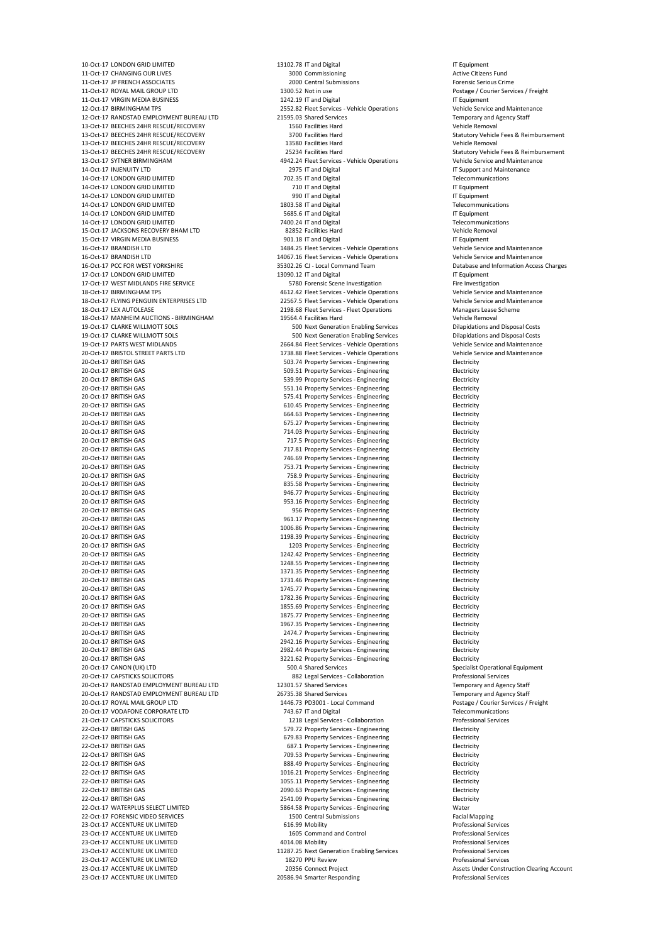10-Oct-17 LONDON GRID LIMITED 13102.78 IT and Digital 13102.78 IT and Digital 10-Oct-17 LONDON GRID LIMITED 11-Oct-17 CHANGING OUR LIVES **11-Oct-17 CHANGING OUR LIVES** 2000 Commissioning 3000 Commissioning **Active Citizens Fund** 11-Oct-17 JP FRENCH ASSOCIATES 2000 Central Submissions Forensic Serious Crime 11-Oct-17 ROYAL MAIL GROUP LTD 1300.52 Not in use Postage / Courier Services / Freight 11-Oct-17 VIRGIN MEDIA BUSINESS 1242.19 IT and Digital IT Equipment 12-Oct-17 BIRMINGHAM TPS 2552.82 Fleet Services - Vehicle Operations Vehicle Service and Maintenance 12-Oct-17 RANDSTAD EMPLOYMENT BUREAU LTD 21595.03 Shared Services Temporary and Agency Staff 13-Oct-17 BEECHES 24HR RESCUE/RECOVERY 1560 Facilities Hard Vehicle Removal 13-Oct-17 BEECHES 24HR RESCUE/RECOVERY 3700 Facilities Hard Statutory Vehicle Fees & Reimbursement 13-Oct-17 BEECHES 24HR RESCUE/RECOVERY 13580 Facilities Hard Vehicle Removal 13-Oct-17 BEECHES 24HR RESCUE/RECOVERY 25234 Facilities Hard Statutory Vehicle Fees & Reimbursement 13-Oct-17 SYTNER BIRMINGHAM 4942.24 Fleet Services - Vehicle Operations Vehicle Service and Maintenance 14-Oct-17 INJENUITY LTD 2975 IT and Digital IT Support and Maintenance 14-Oct-17 LONDON GRID LIMITED **14-Oct-17 LONDON GRID LIMITED 14-Oct-17 LONDON GRID LIMITED** 14-Oct-17 LONDON GRID LIMITED **14-Oct-17 LONDON GRID LIMITED** 710 IT and Digital **IT Equipment** 14-Oct-17 LONDON GRID LIMITED 2001 T and Digital 14-Oct-17 LONDON GRID LIMITED 15 UP AND 17 Equipment 14-Oct-17 LONDON GRID LIMITED 1803.58 IT and Digital Telecommunications 14-Oct-17 LONDON GRID LIMITED 5685.6 IT and Digital 14-Oct-17 LONDON GRID LIMITED 14-Oct-17 LONDON GRID LIMITED 7400.24 IT and Digital Telecommunications 15-Oct-17 JACKSONS RECOVERY BHAM LTD 82852 Facilities Hard Vehicle Removal 15-Oct-17 VIRGIN MEDIA BUSINESS **15-Oct-17 VIRGIN MEDIA BUSINESS** 901.18 IT and Digital 15-Oct-17 VIRGIN MEDIA BUSINESS 16-Oct-17 BRANDISH LTD 1484.25 Fleet Services - Vehicle Operations Vehicle Service and Maintenance 16-Oct-17 BRANDISH LTD 14067.16 Fleet Services - Vehicle Operations Vehicle Service and Maintenance 16-Oct-17 PCC FOR WEST YORKSHIRE 35302.26 CJ - Local Command Team Database and Information Access Charges 17-Oct-17 LONDON GRID LIMITED 13090.12 IT and Digital 13090.12 IT and Digital 17-Oct-17 LONDON GRID LIMITED 17-Oct-17 WEST MIDLANDS FIRE SERVICE **17-Oct-17 WEST MIDLANDS** FIRE SERVICE 18-Oct-17 BIRMINGHAM TPS 4612.42 Fleet Services - Vehicle Operations Vehicle Service and Maintenance 18-Oct-17 FLYING PENGUIN ENTERPRISES LTD 22567.5 Fleet Services - Vehicle Operations Vehicle Service and Maintenance 18-Oct-17 LEX AUTOLEASE 2198.68 Fleet Services - Fleet Operations Managers Lease Scheme 18-Oct-17 MANHEIM AUCTIONS - BIRMINGHAM 19564.4 Facilities Hard Vehicle Removal 19-Oct-17 CLARKE WILLMOTT SOLS 500 Next Generation Enabling Services Dilapidations and Disposal Costs 19-Oct-17 CLARKE WILLMOTT SOLS 500 Next Generation Enabling Services Dilapidations and Disposal Costs 19-Oct-17 PARTS WEST MIDLANDS 2664.84 Fleet Services - Vehicle Operations Vehicle Service and Maintenance 20-Oct-17 BRISTOL STREET PARTS LTD 1738.88 Fleet Services - Vehicle Operations Vehicle Service and Maintenance 20-Oct-17 BRITISH GAS Electricity and the state of the SO3.74 Property Services - Engineering Electricity 20-Oct-17 BRITISH GAS Electricity and the state of the state of the state of the state of the state of the state of the state of the state of the state of the state of the state of the state of the state of the state of th 20-Oct-17 BRITISH GAS 539.99 Property Services - Engineering Electricity 20-Oct-17 BRITISH GAS Electricity and the state of the state of the state of the state of the state of the state of the state of the state of the state of the state of the state of the state of the state of the state of th 20-Oct-17 BRITISH GAS Electricity and the state of the state of the state of the state of the state of the state of the state of the state of the state of the state of the state of the state of the state of the state of th 20-Oct-17 BRITISH GAS 610.45 Property Services - Engineering Electricity 20-Oct-17 BRITISH GAS Electricity 664.63 Property Services - Engineering Electricity 20-Oct-17 BRITISH GAS 675.27 Property Services - Engineering Electricity 20-Oct-17 BRITISH GAS 714.03 Property Services - Engineering Electricity 20-Oct-17 BRITISH GAS 717.5 Property Services - Engineering Electricity 20-Oct-17 BRITISH GAS Electricity Cases and Cases of Table 717.81 Property Services - Engineering 20-Oct-17 BRITISH GAS 746.69 Property Services - Engineering Electricity 20-Oct-17 BRITISH GAS 753.71 Property Services - Engineering Electricity 20-Oct-17 BRITISH GAS 758.9 Property Services - Engineering Electricity 20-Oct-17 BRITISH GAS Electricity and the state of the state of 835.58 Property Services - Engineering Electricity 20-Oct-17 BRITISH GAS 946.77 Property Services - Engineering Electricity 20-Oct-17 BRITISH GAS 953.16 Property Services - Engineering Electricity 20-Oct-17 BRITISH GAS Electricity and the Superversion of the Superversion of the Superversion of the Superversion of the Electricity 20-Oct-17 BRITISH GAS 961.17 Property Services - Engineering Electricity 20-Oct-17 BRITISH GAS 1006.86 Property Services - Engineering Electricity 20-Oct-17 BRITISH GAS 1198.39 Property Services - Engineering Electricity 20-Oct-17 BRITISH GAS 1203 Property Services - Engineering Electricity 20-Oct-17 BRITISH GAS 1248.55 Property Services - Engineering Electricity 20-Oct-17 BRITISH GAS 1371.35 Property Services - Engineering Electricity 20-Oct-17 BRITISH GAS Electricity and the state of the 1731.46 Property Services - Engineering Electricity 20-Oct-17 BRITISH GAS 1745.77 Property Services - Engineering Electricity 20-Oct-17 BRITISH GAS 1782.36 Property Services - Engineering Electricity 20-Oct-17 BRITISH GAS Electricity and the state of the state of 1855.69 Property Services - Engineering Electricity 20-Oct-17 BRITISH GAS Electricity and the state of the state of the 1875.77 Property Services - Engineering Electricity 20-Oct-17 BRITISH GAS 1967.35 Property Services - Engineering Electricity 20-Oct-17 BRITISH GAS 2474.7 Property Services - Engineering Electricity 20-Oct-17 BRITISH GAS 2942.16 Property Services - Engineering Electricity 20-Oct-17 BRITISH GAS 2982.44 Property Services - Engineering Electricity 20-Oct-17 BRITISH GAS 3221.62 Property Services - Engineering Electricity 20-Oct-17 CANON (UK) LTD **1990 COLLUSTS** 500.4 Shared Services Specialist Operational Equipment 20-Oct-17 CAPSTICKS SOLICITORS 882 Legal Services - Collaboration Professional Services 20-Oct-17 RANDSTAD EMPLOYMENT BUREAU LTD 12301.57 Shared Services Temporary and Agency Staff 20-Oct-17 RANDSTAD EMPLOYMENT BUREAU LTD 26735.38 Shared Services Temporary and Agency Staff 20-Oct-17 ROYAL MAIL GROUP LTD **1446.73 PD3001 - Local Command** Postage / Courier Services / Freight 20-Oct-17 VODAFONE CORPORATE LTD 2010 743.67 IT and Digital Telecommunications 21-Oct-17 CAPSTICKS SOLICITORS 1218 Legal Services - Collaboration Professional Services 22-Oct-17 BRITISH GAS 579.72 Property Services - Engineering Electricity 22-Oct-17 BRITISH GAS Electricity 679.83 Property Services - Engineering Electricity 22-Oct-17 BRITISH GAS 687.1 Property Services - Engineering Electricity 22-Oct-17 BRITISH GAS 709.53 Property Services - Engineering Electricity 22-Oct-17 BRITISH GAS Electricity and the state of the state of the state and state and state and state and state and state and state and state and state and state and state and state and state and state and state and stat 22-Oct-17 BRITISH GAS Electricity and the state of the 1016.21 Property Services - Engineering Electricity 22-Oct-17 BRITISH GAS 1055.11 Property Services - Engineering Electricity 22-Oct-17 BRITISH GAS 2090.63 Property Services - Engineering Electricity 22-Oct-17 BRITISH GAS 2541.09 Property Services - Engineering Electricity 22-Oct-17 WATERPLUS SELECT LIMITED 601 CHECH STATER SERIES SERIES SERIES SERIES SERIES SERIES SERIES WATER 22-Oct-17 FORENSIC VIDEO SERVICES 1500 Central Submissions Facial Mapping 23-Oct-17 ACCENTURE UK LIMITED 616.99 Mobility Professional Services 23-Oct-17 ACCENTURE UK LIMITED 1605 Command and Control Professional Services 23-Oct-17 ACCENTURE UK LIMITED 4014.08 Mobility Professional Services 23-Oct-17 ACCENTURE UK LIMITED 11287.25 Next Generation Enabling Services Professional Services 23-Oct-17 ACCENTURE UK LIMITED 18270 PPU Review Professional Services 23-Oct-17 ACCENTURE UK LIMITED 20356 Connect Project Assets Under Construction Clearing Account

20-Oct-17 BRITISH GAS 1242.42 Property Services - Engineering Electricity 23-Oct-17 ACCENTURE UK LIMITED **20586.94 Smarter Responding** Professional Services